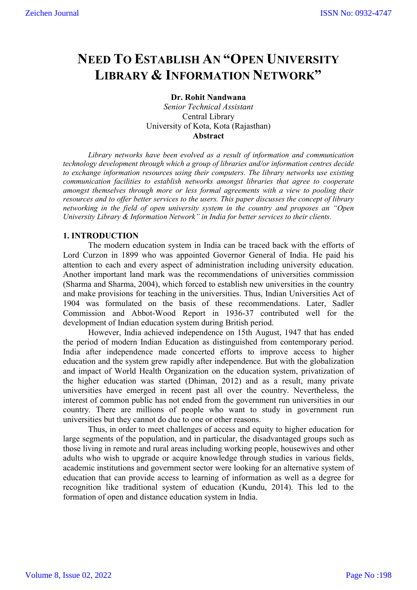# **NEED TO ESTABLISH AN "OPEN UNIVERSITY LIBRARY & INFORMATION NETWORK"**

# **Dr. Rohit Nandwana**

*Senior Technical Assistant* Central Library University of Kota, Kota (Rajasthan) **Abstract** 

*Library networks have been evolved as a result of information and communication technology development through which a group of libraries and/or information centres decide to exchange information resources using their computers. The library networks use existing communication facilities to establish networks amongst libraries that agree to cooperate amongst themselves through more or less formal agreements with a view to pooling their resources and to offer better services to the users. This paper discusses the concept of library networking in the field of open university system in the country and proposes an "Open University Library & Information Network" in India for better services to their clients.* 

# **1. INTRODUCTION**

The modern education system in India can be traced back with the efforts of Lord Curzon in 1899 who was appointed Governor General of India. He paid his attention to each and every aspect of administration including university education. Another important land mark was the recommendations of universities commission (Sharma and Sharma, 2004), which forced to establish new universities in the country and make provisions for teaching in the universities. Thus, Indian Universities Act of 1904 was formulated on the basis of these recommendations. Later, Sadler Commission and Abbot-Wood Report in 1936-37 contributed well for the development of Indian education system during British period.

However, India achieved independence on 15th August, 1947 that has ended the period of modern Indian Education as distinguished from contemporary period. India after independence made concerted efforts to improve access to higher education and the system grew rapidly after independence. But with the globalization and impact of World Health Organization on the education system, privatization of the higher education was started (Dhiman, 2012) and as a result, many private universities have emerged in recent past all over the country. Nevertheless, the interest of common public has not ended from the government run universities in our country. There are millions of people who want to study in government run universities but they cannot do due to one or other reasons.

Thus, in order to meet challenges of access and equity to higher education for large segments of the population, and in particular, the disadvantaged groups such as those living in remote and rural areas including working people, housewives and other adults who wish to upgrade or acquire knowledge through studies in various fields, academic institutions and government sector were looking for an alternative system of education that can provide access to learning of information as well as a degree for recognition like traditional system of education (Kundu, 2014). This led to the formation of open and distance education system in India.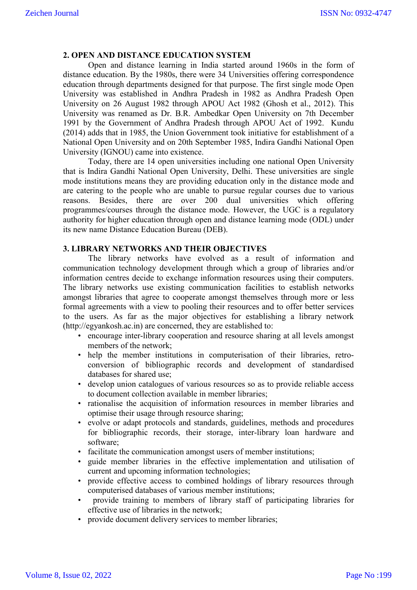## **2. OPEN AND DISTANCE EDUCATION SYSTEM**

Open and distance learning in India started around 1960s in the form of distance education. By the 1980s, there were 34 Universities offering correspondence education through departments designed for that purpose. The first single mode Open University was established in Andhra Pradesh in 1982 as Andhra Pradesh Open University on 26 August 1982 through APOU Act 1982 (Ghosh et al., 2012). This University was renamed as Dr. B.R. Ambedkar Open University on 7th December 1991 by the Government of Andhra Pradesh through APOU Act of 1992. Kundu (2014) adds that in 1985, the Union Government took initiative for establishment of a National Open University and on 20th September 1985, Indira Gandhi National Open University (IGNOU) came into existence.

Today, there are 14 open universities including one national Open University that is Indira Gandhi National Open University, Delhi. These universities are single mode institutions means they are providing education only in the distance mode and are catering to the people who are unable to pursue regular courses due to various reasons. Besides, there are over 200 dual universities which offering programmes/courses through the distance mode. However, the UGC is a regulatory authority for higher education through open and distance learning mode (ODL) under its new name Distance Education Bureau (DEB).

## **3. LIBRARY NETWORKS AND THEIR OBJECTIVES**

The library networks have evolved as a result of information and communication technology development through which a group of libraries and/or information centres decide to exchange information resources using their computers. The library networks use existing communication facilities to establish networks amongst libraries that agree to cooperate amongst themselves through more or less formal agreements with a view to pooling their resources and to offer better services to the users. As far as the major objectives for establishing a library network (http://egyankosh.ac.in) are concerned, they are established to:

- encourage inter-library cooperation and resource sharing at all levels amongst members of the network;
- help the member institutions in computerisation of their libraries, retroconversion of bibliographic records and development of standardised databases for shared use;
- develop union catalogues of various resources so as to provide reliable access to document collection available in member libraries;
- rationalise the acquisition of information resources in member libraries and optimise their usage through resource sharing;
- evolve or adapt protocols and standards, guidelines, methods and procedures for bibliographic records, their storage, inter-library loan hardware and software;
- facilitate the communication amongst users of member institutions;
- guide member libraries in the effective implementation and utilisation of current and upcoming information technologies;
- provide effective access to combined holdings of library resources through computerised databases of various member institutions;
- provide training to members of library staff of participating libraries for effective use of libraries in the network;
- provide document delivery services to member libraries;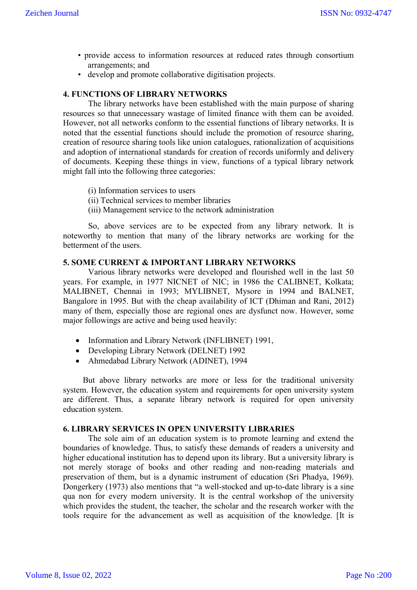- provide access to information resources at reduced rates through consortium arrangements; and
- develop and promote collaborative digitisation projects.

## **4. FUNCTIONS OF LIBRARY NETWORKS**

The library networks have been established with the main purpose of sharing resources so that unnecessary wastage of limited finance with them can be avoided. However, not all networks conform to the essential functions of library networks. It is noted that the essential functions should include the promotion of resource sharing, creation of resource sharing tools like union catalogues, rationalization of acquisitions and adoption of international standards for creation of records uniformly and delivery of documents. Keeping these things in view, functions of a typical library network might fall into the following three categories:

- (i) Information services to users
- (ii) Technical services to member libraries
- (iii) Management service to the network administration

So, above services are to be expected from any library network. It is noteworthy to mention that many of the library networks are working for the betterment of the users.

#### **5. SOME CURRENT & IMPORTANT LIBRARY NETWORKS**

Various library networks were developed and flourished well in the last 50 years. For example, in 1977 NICNET of NIC; in 1986 the CALIBNET, Kolkata; MALIBNET, Chennai in 1993; MYLIBNET, Mysore in 1994 and BALNET, Bangalore in 1995. But with the cheap availability of ICT (Dhiman and Rani, 2012) many of them, especially those are regional ones are dysfunct now. However, some major followings are active and being used heavily:

- Information and Library Network (INFLIBNET) 1991,
- Developing Library Network (DELNET) 1992
- Ahmedabad Library Network (ADINET), 1994

But above library networks are more or less for the traditional university system. However, the education system and requirements for open university system are different. Thus, a separate library network is required for open university education system.

## **6. LIBRARY SERVICES IN OPEN UNIVERSITY LIBRARIES**

The sole aim of an education system is to promote learning and extend the boundaries of knowledge. Thus, to satisfy these demands of readers a university and higher educational institution has to depend upon its library. But a university library is not merely storage of books and other reading and non-reading materials and preservation of them, but is a dynamic instrument of education (Sri Phadya, 1969). Dongerkery (1973) also mentions that "a well-stocked and up-to-date library is a sine qua non for every modern university. It is the central workshop of the university which provides the student, the teacher, the scholar and the research worker with the tools require for the advancement as well as acquisition of the knowledge. [It is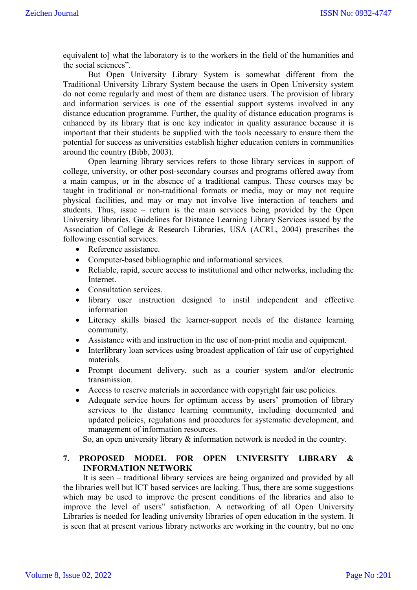equivalent to] what the laboratory is to the workers in the field of the humanities and the social sciences".

But Open University Library System is somewhat different from the Traditional University Library System because the users in Open University system do not come regularly and most of them are distance users. The provision of library and information services is one of the essential support systems involved in any distance education programme. Further, the quality of distance education programs is enhanced by its library that is one key indicator in quality assurance because it is important that their students be supplied with the tools necessary to ensure them the potential for success as universities establish higher education centers in communities around the country (Bibb, 2003).

Open learning library services refers to those library services in support of college, university, or other post-secondary courses and programs offered away from a main campus, or in the absence of a traditional campus. These courses may be taught in traditional or non-traditional formats or media, may or may not require physical facilities, and may or may not involve live interaction of teachers and students. Thus, issue – return is the main services being provided by the Open University libraries. Guidelines for Distance Learning Library Services issued by the Association of College & Research Libraries, USA (ACRL, 2004) prescribes the following essential services:

- Reference assistance.
- Computer-based bibliographic and informational services.
- Reliable, rapid, secure access to institutional and other networks, including the Internet.
- Consultation services.
- library user instruction designed to instil independent and effective information
- Literacy skills biased the learner-support needs of the distance learning community.
- Assistance with and instruction in the use of non-print media and equipment.
- Interlibrary loan services using broadest application of fair use of copyrighted materials.
- Prompt document delivery, such as a courier system and/or electronic transmission.
- Access to reserve materials in accordance with copyright fair use policies.
- Adequate service hours for optimum access by users' promotion of library services to the distance learning community, including documented and updated policies, regulations and procedures for systematic development, and management of information resources.

So, an open university library & information network is needed in the country.

# **7. PROPOSED MODEL FOR OPEN UNIVERSITY LIBRARY & INFORMATION NETWORK**

It is seen – traditional library services are being organized and provided by all the libraries well but ICT based services are lacking. Thus, there are some suggestions which may be used to improve the present conditions of the libraries and also to improve the level of users" satisfaction. A networking of all Open University Libraries is needed for leading university libraries of open education in the system. It is seen that at present various library networks are working in the country, but no one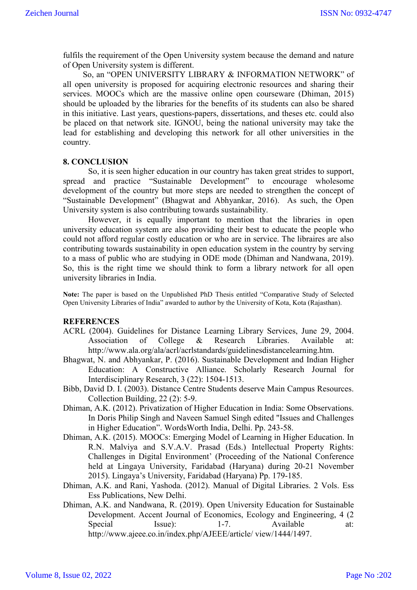fulfils the requirement of the Open University system because the demand and nature of Open University system is different.

So, an "OPEN UNIVERSITY LIBRARY & INFORMATION NETWORK" of all open university is proposed for acquiring electronic resources and sharing their services. MOOCs which are the massive online open courseware (Dhiman, 2015) should be uploaded by the libraries for the benefits of its students can also be shared in this initiative. Last years, questions-papers, dissertations, and theses etc. could also be placed on that network site. IGNOU, being the national university may take the lead for establishing and developing this network for all other universities in the country.

#### **8. CONCLUSION**

So, it is seen higher education in our country has taken great strides to support, spread and practice "Sustainable Development" to encourage wholesome development of the country but more steps are needed to strengthen the concept of "Sustainable Development" (Bhagwat and Abhyankar, 2016). As such, the Open University system is also contributing towards sustainability.

However, it is equally important to mention that the libraries in open university education system are also providing their best to educate the people who could not afford regular costly education or who are in service. The libraires are also contributing towards sustainability in open education system in the country by serving to a mass of public who are studying in ODE mode (Dhiman and Nandwana, 2019). So, this is the right time we should think to form a library network for all open university libraries in India.

**Note:** The paper is based on the Unpublished PhD Thesis entitled "Comparative Study of Selected Open University Libraries of India" awarded to author by the University of Kota, Kota (Rajasthan).

#### **REFERENCES**

- ACRL (2004). Guidelines for Distance Learning Library Services, June 29, 2004. Association of College & Research Libraries. Available at: http://www.ala.org/ala/acrl/acrlstandards/guidelinesdistancelearning.htm.
- Bhagwat, N. and Abhyankar, P. (2016). Sustainable Development and Indian Higher Education: A Constructive Alliance. Scholarly Research Journal for Interdisciplinary Research, 3 (22): 1504-1513.
- Bibb, David D. I. (2003). Distance Centre Students deserve Main Campus Resources. Collection Building, 22 (2): 5-9.
- Dhiman, A.K. (2012). Privatization of Higher Education in India: Some Observations. In Doris Philip Singh and Naveen Samuel Singh edited "Issues and Challenges in Higher Education". WordsWorth India, Delhi. Pp. 243-58.
- Dhiman, A.K. (2015). MOOCs: Emerging Model of Learning in Higher Education. In R.N. Malviya and S.V.A.V. Prasad (Eds.) Intellectual Property Rights: Challenges in Digital Environment' (Proceeding of the National Conference held at Lingaya University, Faridabad (Haryana) during 20-21 November 2015). Lingaya's University, Faridabad (Haryana) Pp. 179-185.
- Dhiman, A.K. and Rani, Yashoda. (2012). Manual of Digital Libraries. 2 Vols. Ess Ess Publications, New Delhi.
- Dhiman, A.K. and Nandwana, R. (2019). Open University Education for Sustainable Development. Accent Journal of Economics, Ecology and Engineering, 4 (2 Special Issue): 1-7. Available at: http://www.ajeee.co.in/index.php/AJEEE/article/ view/1444/1497.